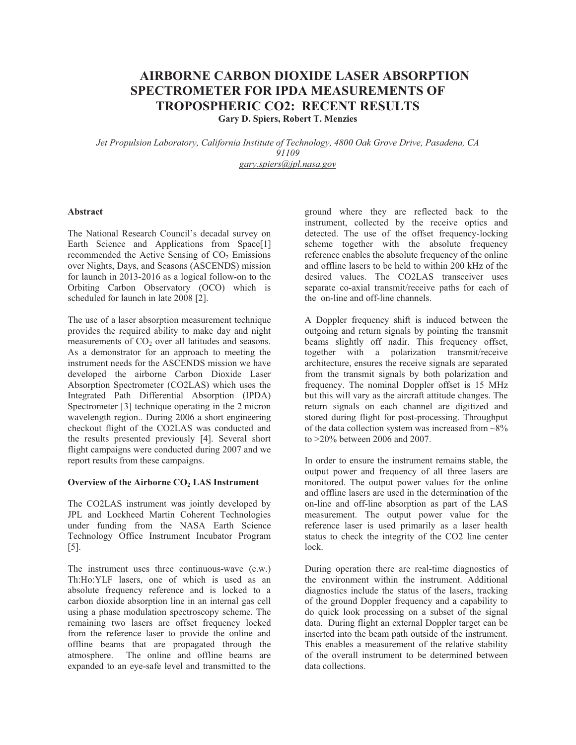## **AIRBORNE CARBON DIOXIDE LASER ABSORPTION SPECTROMETER FOR IPDA MEASUREMENTS OF TROPOSPHERIC CO2: RECENT RESULTS Gary D. Spiers, Robert T. Menzies**

*Jet Propulsion Laboratory, California Institute of Technology, 4800 Oak Grove Drive, Pasadena, CA 91109 gary.spiers@jpl.nasa.gov*

### **Abstract**

The National Research Council's decadal survey on Earth Science and Applications from Space[1] recommended the Active Sensing of  $CO<sub>2</sub>$  Emissions over Nights, Days, and Seasons (ASCENDS) mission for launch in 2013-2016 as a logical follow-on to the Orbiting Carbon Observatory (OCO) which is scheduled for launch in late 2008 [2].

The use of a laser absorption measurement technique provides the required ability to make day and night measurements of  $CO<sub>2</sub>$  over all latitudes and seasons. As a demonstrator for an approach to meeting the instrument needs for the ASCENDS mission we have developed the airborne Carbon Dioxide Laser Absorption Spectrometer (CO2LAS) which uses the Integrated Path Differential Absorption (IPDA) Spectrometer [3] technique operating in the 2 micron wavelength region.. During 2006 a short engineering checkout flight of the CO2LAS was conducted and the results presented previously [4]. Several short flight campaigns were conducted during 2007 and we report results from these campaigns.

### Overview of the Airborne CO<sub>2</sub> LAS Instrument

The CO2LAS instrument was jointly developed by JPL and Lockheed Martin Coherent Technologies under funding from the NASA Earth Science Technology Office Instrument Incubator Program [5].

The instrument uses three continuous-wave (c.w.) Th:Ho:YLF lasers, one of which is used as an absolute frequency reference and is locked to a carbon dioxide absorption line in an internal gas cell using a phase modulation spectroscopy scheme. The remaining two lasers are offset frequency locked from the reference laser to provide the online and offline beams that are propagated through the atmosphere. The online and offline beams are expanded to an eye-safe level and transmitted to the

ground where they are reflected back to the instrument, collected by the receive optics and detected. The use of the offset frequency-locking scheme together with the absolute frequency reference enables the absolute frequency of the online and offline lasers to be held to within 200 kHz of the desired values. The CO2LAS transceiver uses separate co-axial transmit/receive paths for each of the on-line and off-line channels.

A Doppler frequency shift is induced between the outgoing and return signals by pointing the transmit beams slightly off nadir. This frequency offset, together with a polarization transmit/receive architecture, ensures the receive signals are separated from the transmit signals by both polarization and frequency. The nominal Doppler offset is 15 MHz but this will vary as the aircraft attitude changes. The return signals on each channel are digitized and stored during flight for post-processing. Throughput of the data collection system was increased from  $\sim8\%$ to >20% between 2006 and 2007.

In order to ensure the instrument remains stable, the output power and frequency of all three lasers are monitored. The output power values for the online and offline lasers are used in the determination of the on-line and off-line absorption as part of the LAS measurement. The output power value for the reference laser is used primarily as a laser health status to check the integrity of the CO2 line center lock.

During operation there are real-time diagnostics of the environment within the instrument. Additional diagnostics include the status of the lasers, tracking of the ground Doppler frequency and a capability to do quick look processing on a subset of the signal data. During flight an external Doppler target can be inserted into the beam path outside of the instrument. This enables a measurement of the relative stability of the overall instrument to be determined between data collections.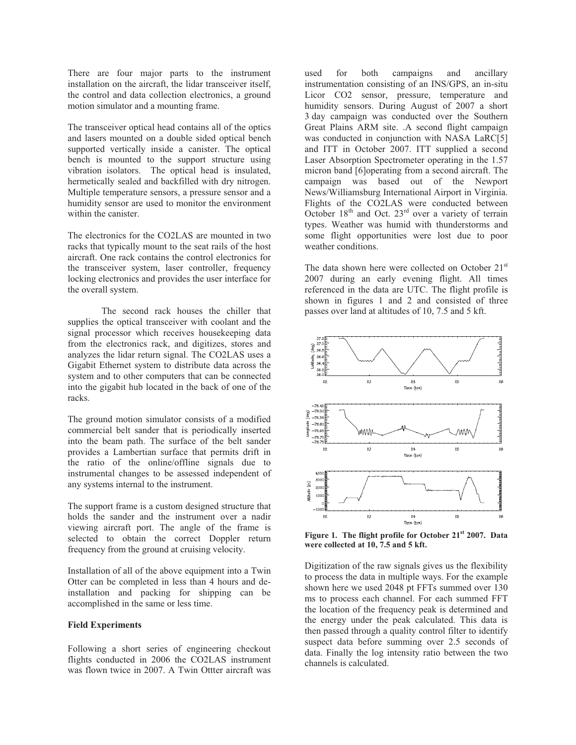There are four major parts to the instrument installation on the aircraft, the lidar transceiver itself, the control and data collection electronics, a ground motion simulator and a mounting frame.

The transceiver optical head contains all of the optics and lasers mounted on a double sided optical bench supported vertically inside a canister. The optical bench is mounted to the support structure using vibration isolators. The optical head is insulated, hermetically sealed and backfilled with dry nitrogen. Multiple temperature sensors, a pressure sensor and a humidity sensor are used to monitor the environment within the canister.

The electronics for the CO2LAS are mounted in two racks that typically mount to the seat rails of the host aircraft. One rack contains the control electronics for the transceiver system, laser controller, frequency locking electronics and provides the user interface for the overall system.

 The second rack houses the chiller that supplies the optical transceiver with coolant and the signal processor which receives housekeeping data from the electronics rack, and digitizes, stores and analyzes the lidar return signal. The CO2LAS uses a Gigabit Ethernet system to distribute data across the system and to other computers that can be connected into the gigabit hub located in the back of one of the racks.

The ground motion simulator consists of a modified commercial belt sander that is periodically inserted into the beam path. The surface of the belt sander provides a Lambertian surface that permits drift in the ratio of the online/offline signals due to instrumental changes to be assessed independent of any systems internal to the instrument.

The support frame is a custom designed structure that holds the sander and the instrument over a nadir viewing aircraft port. The angle of the frame is selected to obtain the correct Doppler return frequency from the ground at cruising velocity.

Installation of all of the above equipment into a Twin Otter can be completed in less than 4 hours and deinstallation and packing for shipping can be accomplished in the same or less time.

#### **Field Experiments**

Following a short series of engineering checkout flights conducted in 2006 the CO2LAS instrument was flown twice in 2007. A Twin Ottter aircraft was

used for both campaigns and ancillary instrumentation consisting of an INS/GPS, an in-situ Licor CO2 sensor, pressure, temperature and humidity sensors. During August of 2007 a short 3 day campaign was conducted over the Southern Great Plains ARM site. .A second flight campaign was conducted in conjunction with NASA LaRC[5] and ITT in October 2007. ITT supplied a second Laser Absorption Spectrometer operating in the 1.57 micron band [6]operating from a second aircraft. The campaign was based out of the Newport News/Williamsburg International Airport in Virginia. Flights of the CO2LAS were conducted between October  $18<sup>th</sup>$  and Oct.  $23<sup>rd</sup>$  over a variety of terrain types. Weather was humid with thunderstorms and some flight opportunities were lost due to poor weather conditions.

The data shown here were collected on October  $21<sup>st</sup>$ 2007 during an early evening flight. All times referenced in the data are UTC. The flight profile is shown in figures 1 and 2 and consisted of three passes over land at altitudes of 10, 7.5 and 5 kft.



**Figure 1. The flight profile for October 21st 2007. Data were collected at 10, 7.5 and 5 kft.** 

Digitization of the raw signals gives us the flexibility to process the data in multiple ways. For the example shown here we used 2048 pt FFTs summed over 130 ms to process each channel. For each summed FFT the location of the frequency peak is determined and the energy under the peak calculated. This data is then passed through a quality control filter to identify suspect data before summing over 2.5 seconds of data. Finally the log intensity ratio between the two channels is calculated.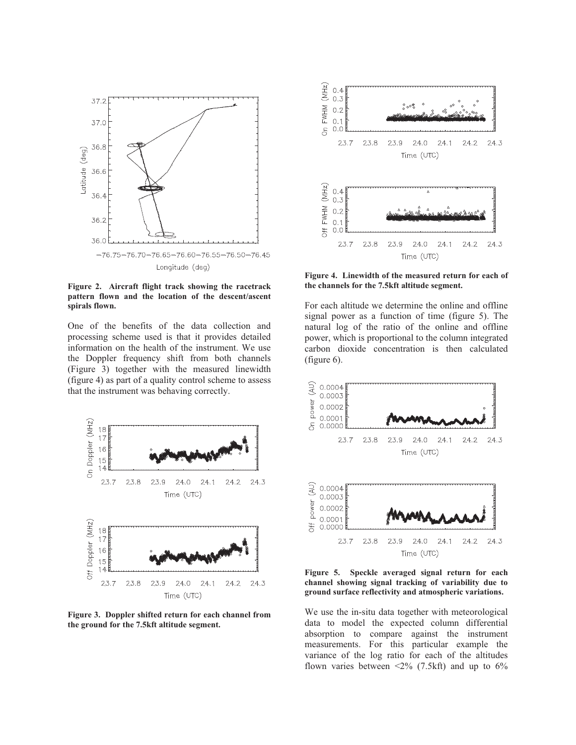

**Figure 2. Aircraft flight track showing the racetrack pattern flown and the location of the descent/ascent spirals flown.** 

One of the benefits of the data collection and processing scheme used is that it provides detailed information on the health of the instrument. We use the Doppler frequency shift from both channels (Figure 3) together with the measured linewidth (figure 4) as part of a quality control scheme to assess that the instrument was behaving correctly.



**Figure 3. Doppler shifted return for each channel from the ground for the 7.5kft altitude segment.** 



**Figure 4. Linewidth of the measured return for each of the channels for the 7.5kft altitude segment.** 

For each altitude we determine the online and offline signal power as a function of time (figure 5). The natural log of the ratio of the online and offline power, which is proportional to the column integrated carbon dioxide concentration is then calculated (figure 6).



**Figure 5. Speckle averaged signal return for each channel showing signal tracking of variability due to ground surface reflectivity and atmospheric variations.** 

We use the in-situ data together with meteorological data to model the expected column differential absorption to compare against the instrument measurements. For this particular example the variance of the log ratio for each of the altitudes flown varies between  $\langle 2\% (7.5 \text{ kft})$  and up to  $6\%$